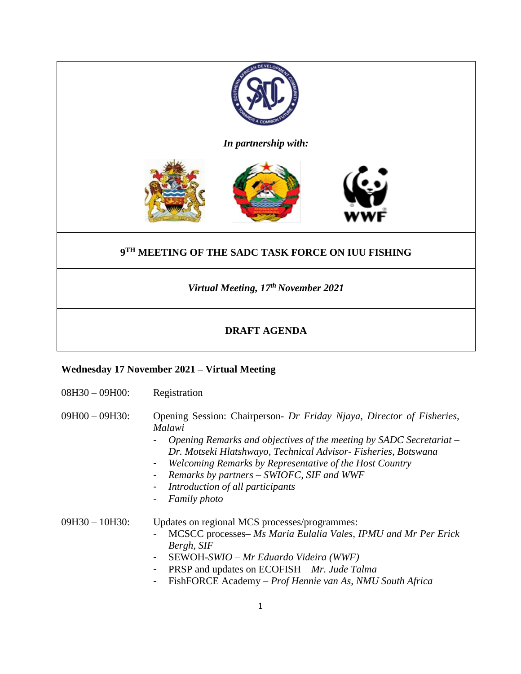

## **DRAFT AGENDA**

## **Wednesday 17 November 2021 – Virtual Meeting**

| $08H30 - 09H00$ : | Registration                                                                                                                                                                                                                                                                                                                                                                                          |
|-------------------|-------------------------------------------------------------------------------------------------------------------------------------------------------------------------------------------------------------------------------------------------------------------------------------------------------------------------------------------------------------------------------------------------------|
| $09H00 - 09H30$ : | Opening Session: Chairperson- Dr Friday Njaya, Director of Fisheries,<br>Malawi<br>Opening Remarks and objectives of the meeting by SADC Secretariat $-$<br>Dr. Motseki Hlatshwayo, Technical Advisor- Fisheries, Botswana<br>Welcoming Remarks by Representative of the Host Country<br>۰<br>Remarks by partners – SWIOFC, SIF and WWF<br>Introduction of all participants<br>-<br>Family photo<br>۰ |
| $09H30 - 10H30$ : | Updates on regional MCS processes/programmes:<br>MCSCC processes– Ms Maria Eulalia Vales, IPMU and Mr Per Erick<br>Bergh, SIF<br>SEWOH-SWIO – Mr Eduardo Videira (WWF)<br>Ξ.<br>PRSP and updates on ECOFISH – Mr. Jude Talma<br>۰<br>FishFORCE Academy – Prof Hennie van As, NMU South Africa                                                                                                         |